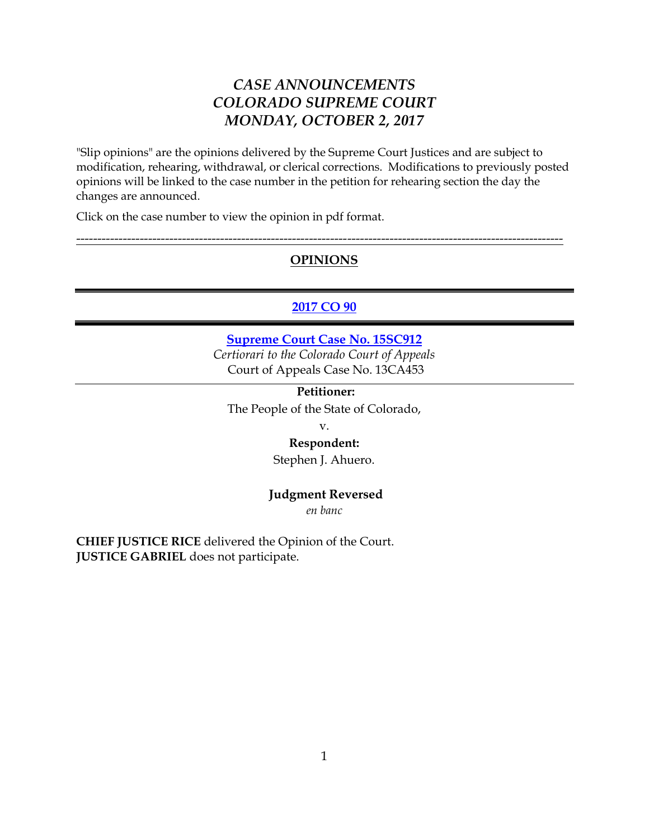# *CASE ANNOUNCEMENTS COLORADO SUPREME COURT MONDAY, OCTOBER 2, 2017*

"Slip opinions" are the opinions delivered by the Supreme Court Justices and are subject to modification, rehearing, withdrawal, or clerical corrections. Modifications to previously posted opinions will be linked to the case number in the petition for rehearing section the day the changes are announced.

Click on the case number to view the opinion in pdf format.

## **OPINIONS**

-------------------------------------------------------------------------------------------------------------------

## **[2017 CO 90](https://www.courts.state.co.us/userfiles/file/Court_Probation/Supreme_Court/Opinions/2015/15SC912.pdf)**

**[Supreme Court Case No. 15SC912](https://www.courts.state.co.us/userfiles/file/Court_Probation/Supreme_Court/Opinions/2015/15SC912.pdf)** *Certiorari to the Colorado Court of Appeals* Court of Appeals Case No. 13CA453

## **Petitioner:**

The People of the State of Colorado,

v.

#### **Respondent:**

Stephen J. Ahuero.

#### **Judgment Reversed**

*en banc*

**CHIEF JUSTICE RICE** delivered the Opinion of the Court. **JUSTICE GABRIEL** does not participate.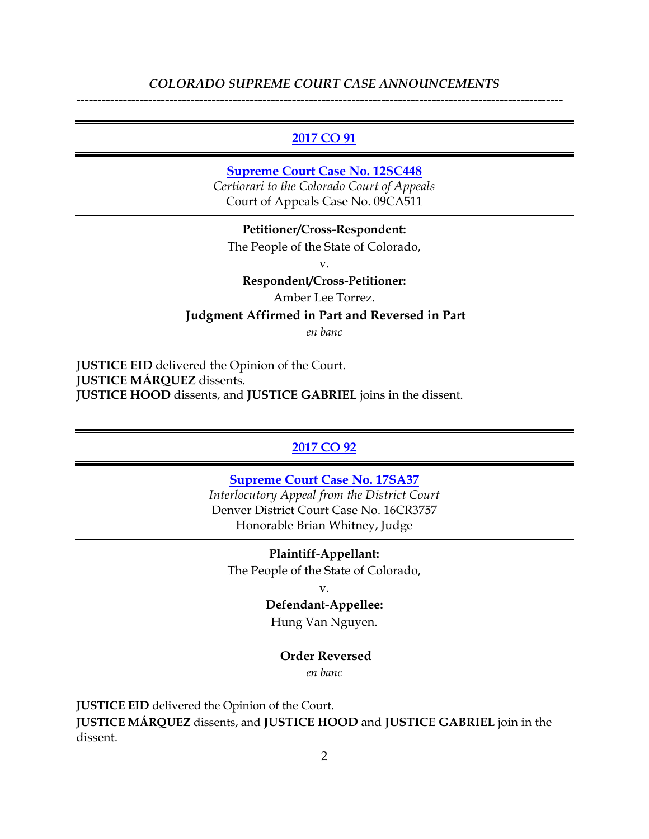#### **[2017 CO 91](https://www.courts.state.co.us/userfiles/file/Court_Probation/Supreme_Court/Opinions/2012/12SC448.pdf)**

### **[Supreme Court Case No. 12SC448](https://www.courts.state.co.us/userfiles/file/Court_Probation/Supreme_Court/Opinions/2012/12SC448.pdf)**

*Certiorari to the Colorado Court of Appeals* Court of Appeals Case No. 09CA511

**Petitioner/Cross-Respondent:** The People of the State of Colorado,

v.

**Respondent/Cross-Petitioner:**

Amber Lee Torrez.

**Judgment Affirmed in Part and Reversed in Part**

*en banc*

**JUSTICE EID** delivered the Opinion of the Court. **JUSTICE MÁRQUEZ** dissents. **JUSTICE HOOD** dissents, and **JUSTICE GABRIEL** joins in the dissent.

#### **[2017 CO 92](https://www.courts.state.co.us/userfiles/file/Court_Probation/Supreme_Court/Opinions/2017/17SA37.pdf)**

**[Supreme Court Case No. 17SA37](https://www.courts.state.co.us/userfiles/file/Court_Probation/Supreme_Court/Opinions/2017/17SA37.pdf)** *Interlocutory Appeal from the District Court* Denver District Court Case No. 16CR3757 Honorable Brian Whitney, Judge

**Plaintiff-Appellant:** The People of the State of Colorado,

v.

**Defendant-Appellee:**

Hung Van Nguyen.

#### **Order Reversed**

*en banc*

**JUSTICE EID** delivered the Opinion of the Court. **JUSTICE MÁRQUEZ** dissents, and **JUSTICE HOOD** and **JUSTICE GABRIEL** join in the dissent.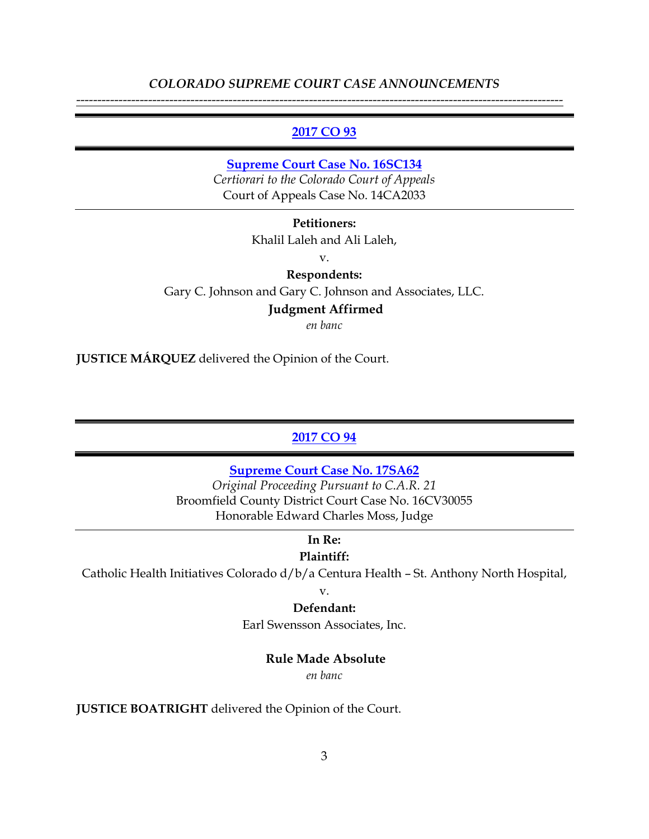#### **[2017 CO 93](https://www.courts.state.co.us/userfiles/file/Court_Probation/Supreme_Court/Opinions/2016/16SC134.pdf)**

#### **[Supreme Court Case No. 16SC134](https://www.courts.state.co.us/userfiles/file/Court_Probation/Supreme_Court/Opinions/2016/16SC134.pdf)**

*Certiorari to the Colorado Court of Appeals* Court of Appeals Case No. 14CA2033

#### **Petitioners:**

Khalil Laleh and Ali Laleh,

v.

## **Respondents:**

Gary C. Johnson and Gary C. Johnson and Associates, LLC.

## **Judgment Affirmed**

*en banc*

**JUSTICE MÁRQUEZ** delivered the Opinion of the Court.

## **[2017 CO 94](https://www.courts.state.co.us/userfiles/file/Court_Probation/Supreme_Court/Opinions/2017/17SA62.pdf)**

#### **[Supreme Court Case No. 17SA62](https://www.courts.state.co.us/userfiles/file/Court_Probation/Supreme_Court/Opinions/2017/17SA62.pdf)**

*Original Proceeding Pursuant to C.A.R. 21* Broomfield County District Court Case No. 16CV30055 Honorable Edward Charles Moss, Judge

# **In Re:**

## **Plaintiff:**

Catholic Health Initiatives Colorado d/b/a Centura Health – St. Anthony North Hospital,

#### v.

#### **Defendant:**

Earl Swensson Associates, Inc.

#### **Rule Made Absolute**

*en banc*

**JUSTICE BOATRIGHT** delivered the Opinion of the Court.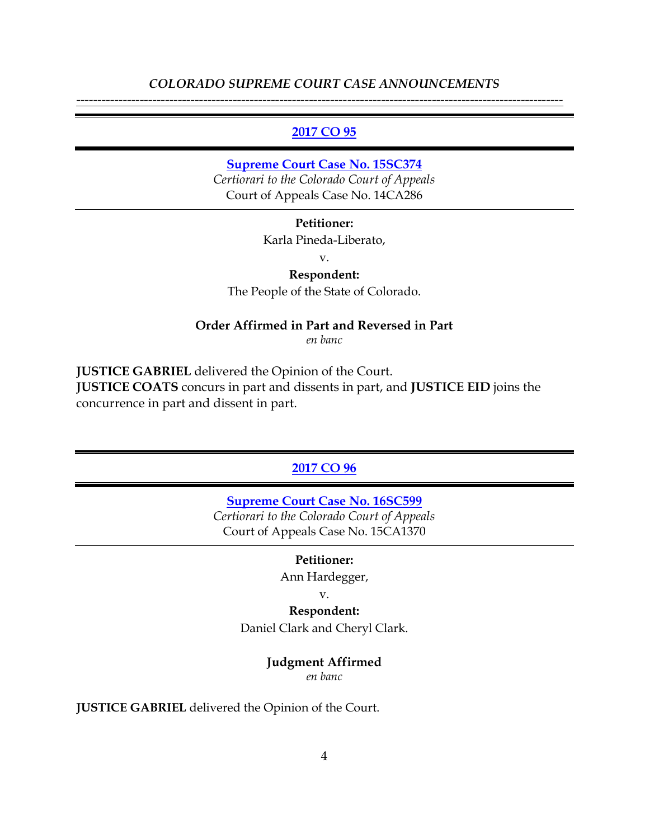#### **[2017 CO 95](https://www.courts.state.co.us/userfiles/file/Court_Probation/Supreme_Court/Opinions/2015/15SC374.pdf)**

#### **[Supreme Court Case No. 15SC374](https://www.courts.state.co.us/userfiles/file/Court_Probation/Supreme_Court/Opinions/2015/15SC374.pdf)**

*Certiorari to the Colorado Court of Appeals* Court of Appeals Case No. 14CA286

#### **Petitioner:**

Karla Pineda-Liberato,

v.

## **Respondent:**

The People of the State of Colorado.

#### **Order Affirmed in Part and Reversed in Part**

*en banc*

**JUSTICE GABRIEL** delivered the Opinion of the Court. **JUSTICE COATS** concurs in part and dissents in part, and **JUSTICE EID** joins the concurrence in part and dissent in part.

## **[2017 CO 96](https://www.courts.state.co.us/userfiles/file/Court_Probation/Supreme_Court/Opinions/2016/16SC599.pdf)**

**[Supreme Court Case No. 16SC599](https://www.courts.state.co.us/userfiles/file/Court_Probation/Supreme_Court/Opinions/2016/16SC599.pdf)**

*Certiorari to the Colorado Court of Appeals* Court of Appeals Case No. 15CA1370

#### **Petitioner:**

Ann Hardegger,

v.

#### **Respondent:**

Daniel Clark and Cheryl Clark.

#### **Judgment Affirmed**

*en banc*

**JUSTICE GABRIEL** delivered the Opinion of the Court.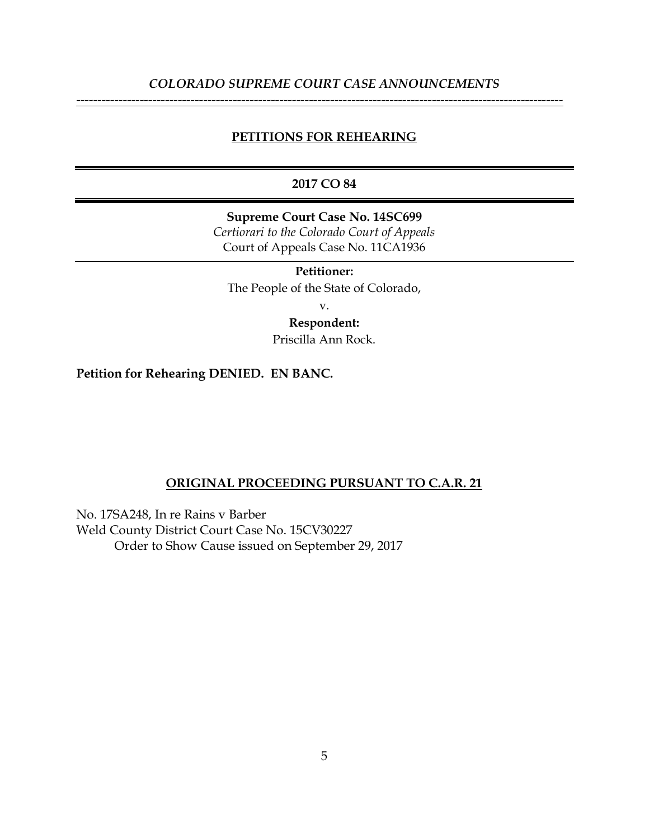## **PETITIONS FOR REHEARING**

## **2017 CO 84**

**Supreme Court Case No. 14SC699** *Certiorari to the Colorado Court of Appeals* Court of Appeals Case No. 11CA1936

**Petitioner:** The People of the State of Colorado,

v.

**Respondent:**

Priscilla Ann Rock.

**Petition for Rehearing DENIED. EN BANC.**

#### **ORIGINAL PROCEEDING PURSUANT TO C.A.R. 21**

No. 17SA248, In re Rains v Barber Weld County District Court Case No. 15CV30227 Order to Show Cause issued on September 29, 2017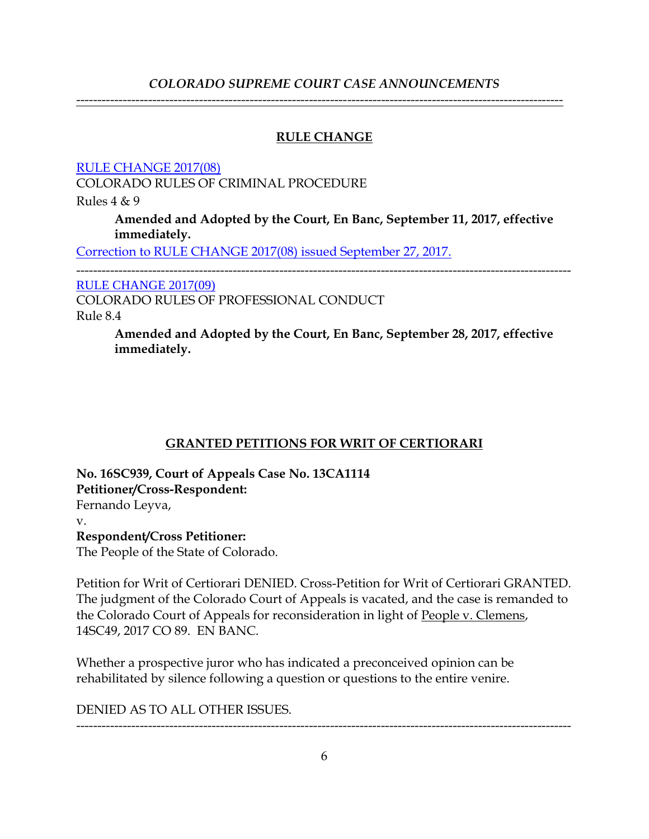-------------------------------------------------------------------------------------------------------------------

## **RULE CHANGE**

[RULE CHANGE 2017\(08\)](https://www.courts.state.co.us/userfiles/file/Court_Probation/Supreme_Court/Rule_Changes/2017/Rule%20Change%202017(08).pdf)

COLORADO RULES OF CRIMINAL PROCEDURE

Rules 4 & 9

**Amended and Adopted by the Court, En Banc, September 11, 2017, effective immediately.**

[Correction to RULE CHANGE 2017\(08\) issued September 27, 2017.](https://www.courts.state.co.us/userfiles/file/Court_Probation/Supreme_Court/Rule_Changes/2017/Correction%20to%20Rule%20Change%202017(08).pdf)

--------------------------------------------------------------------------------------------------------------------- [RULE CHANGE 2017\(09\)](https://www.courts.state.co.us/userfiles/file/Court_Probation/Supreme_Court/Rule_Changes/2017/Rule%20Change%202017(09)%20.pdf)

COLORADO RULES OF PROFESSIONAL CONDUCT

Rule 8.4

**Amended and Adopted by the Court, En Banc, September 28, 2017, effective immediately.**

# **GRANTED PETITIONS FOR WRIT OF CERTIORARI**

**No. 16SC939, Court of Appeals Case No. 13CA1114 Petitioner/Cross-Respondent:** Fernando Leyva, v. **Respondent/Cross Petitioner:** The People of the State of Colorado.

Petition for Writ of Certiorari DENIED. Cross-Petition for Writ of Certiorari GRANTED. The judgment of the Colorado Court of Appeals is vacated, and the case is remanded to the Colorado Court of Appeals for reconsideration in light of People v. Clemens, 14SC49, 2017 CO 89. EN BANC.

Whether a prospective juror who has indicated a preconceived opinion can be rehabilitated by silence following a question or questions to the entire venire.

DENIED AS TO ALL OTHER ISSUES.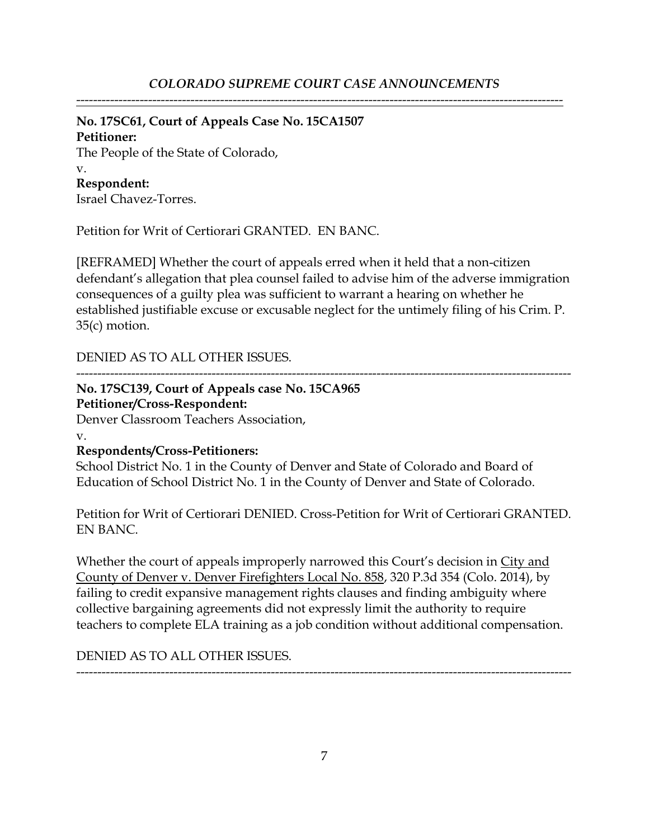## **No. 17SC61, Court of Appeals Case No. 15CA1507**

## **Petitioner:**

The People of the State of Colorado,

#### v.

**Respondent:**

Israel Chavez-Torres.

Petition for Writ of Certiorari GRANTED. EN BANC.

[REFRAMED] Whether the court of appeals erred when it held that a non-citizen defendant's allegation that plea counsel failed to advise him of the adverse immigration consequences of a guilty plea was sufficient to warrant a hearing on whether he established justifiable excuse or excusable neglect for the untimely filing of his Crim. P. 35(c) motion.

DENIED AS TO ALL OTHER ISSUES.

---------------------------------------------------------------------------------------------------------------------

## **No. 17SC139, Court of Appeals case No. 15CA965 Petitioner/Cross-Respondent:**

Denver Classroom Teachers Association,

v.

## **Respondents/Cross-Petitioners:**

School District No. 1 in the County of Denver and State of Colorado and Board of Education of School District No. 1 in the County of Denver and State of Colorado.

Petition for Writ of Certiorari DENIED. Cross-Petition for Writ of Certiorari GRANTED. EN BANC.

Whether the court of appeals improperly narrowed this Court's decision in City and County of Denver v. Denver Firefighters Local No. 858, 320 P.3d 354 (Colo. 2014), by failing to credit expansive management rights clauses and finding ambiguity where collective bargaining agreements did not expressly limit the authority to require teachers to complete ELA training as a job condition without additional compensation.

DENIED AS TO ALL OTHER ISSUES.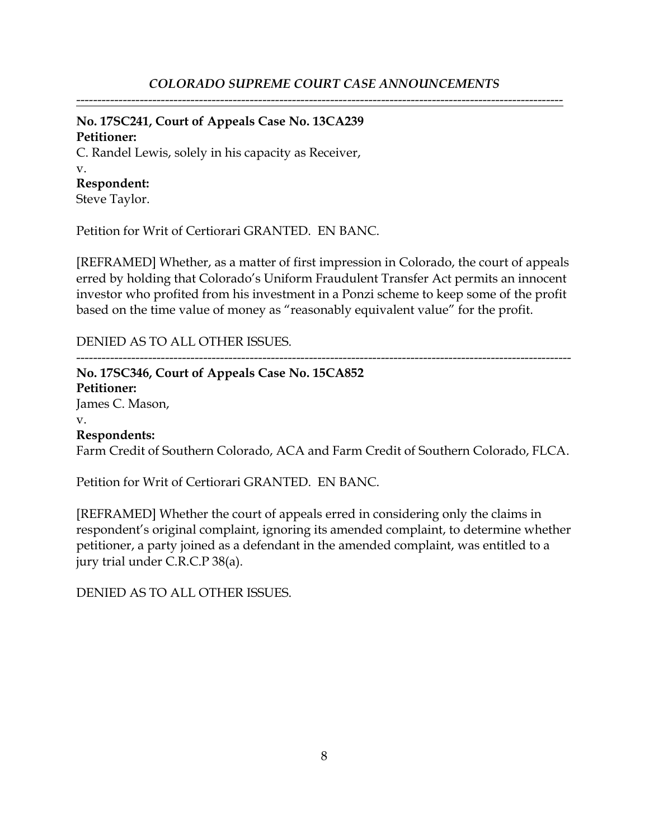-------------------------------------------------------------------------------------------------------------------

# **No. 17SC241, Court of Appeals Case No. 13CA239**

**Petitioner:**

#### C. Randel Lewis, solely in his capacity as Receiver, v.

## **Respondent:**

Steve Taylor.

Petition for Writ of Certiorari GRANTED. EN BANC.

[REFRAMED] Whether, as a matter of first impression in Colorado, the court of appeals erred by holding that Colorado's Uniform Fraudulent Transfer Act permits an innocent investor who profited from his investment in a Ponzi scheme to keep some of the profit based on the time value of money as "reasonably equivalent value" for the profit.

## DENIED AS TO ALL OTHER ISSUES.

---------------------------------------------------------------------------------------------------------------------

## **No. 17SC346, Court of Appeals Case No. 15CA852 Petitioner:** James C. Mason, v. **Respondents:**

Farm Credit of Southern Colorado, ACA and Farm Credit of Southern Colorado, FLCA.

Petition for Writ of Certiorari GRANTED. EN BANC.

[REFRAMED] Whether the court of appeals erred in considering only the claims in respondent's original complaint, ignoring its amended complaint, to determine whether petitioner, a party joined as a defendant in the amended complaint, was entitled to a jury trial under C.R.C.P 38(a).

DENIED AS TO ALL OTHER ISSUES.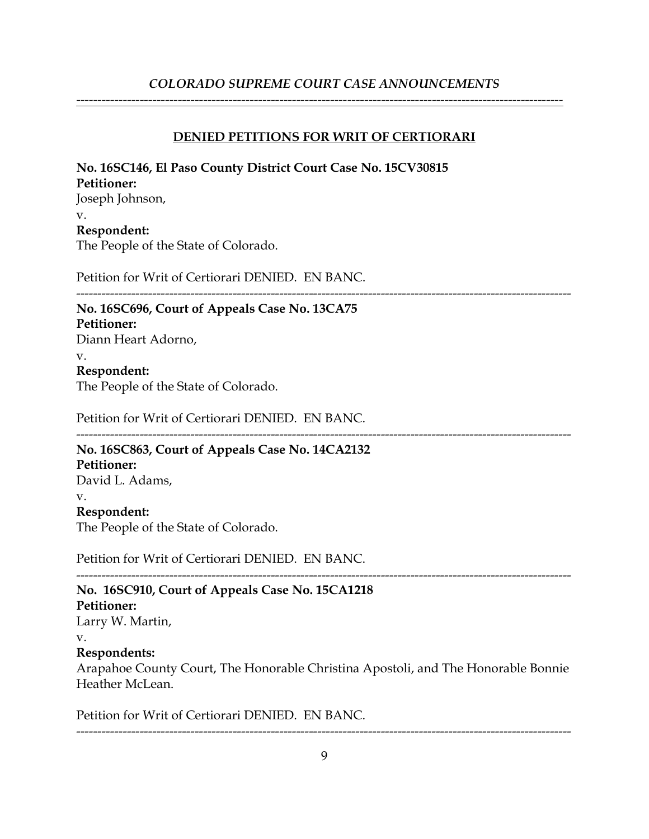-------------------------------------------------------------------------------------------------------------------

## **DENIED PETITIONS FOR WRIT OF CERTIORARI**

| No. 16SC146, El Paso County District Court Case No. 15CV30815 |  |
|---------------------------------------------------------------|--|
| <b>Petitioner:</b>                                            |  |
| Joseph Johnson,                                               |  |
| V.                                                            |  |
| Respondent:                                                   |  |
| The People of the State of Colorado.                          |  |
| Petition for Writ of Certiorari DENIED. EN BANC.              |  |
| No. 16SC696, Court of Appeals Case No. 13CA75                 |  |
| <b>Petitioner:</b>                                            |  |
| Diann Heart Adorno,                                           |  |
| v.                                                            |  |
| Respondent:                                                   |  |
| The People of the State of Colorado.                          |  |
| Petition for Writ of Certiorari DENIED. EN BANC.              |  |
| No. 16SC863, Court of Appeals Case No. 14CA2132               |  |
| Petitioner:                                                   |  |
| David L. Adams,                                               |  |
| V.                                                            |  |
| Respondent:                                                   |  |
| The People of the State of Colorado.                          |  |
|                                                               |  |

Petition for Writ of Certiorari DENIED. EN BANC.

## **No. 16SC910, Court of Appeals Case No. 15CA1218 Petitioner:** Larry W. Martin, v. **Respondents:** Arapahoe County Court, The Honorable Christina Apostoli, and The Honorable Bonnie Heather McLean.

Petition for Writ of Certiorari DENIED. EN BANC.

---------------------------------------------------------------------------------------------------------------------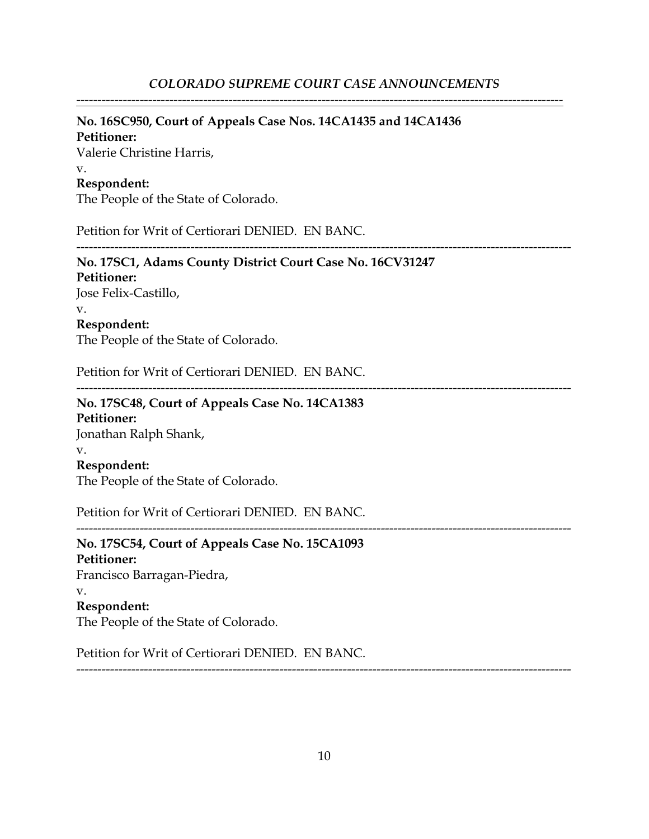# **No. 16SC950, Court of Appeals Case Nos. 14CA1435 and 14CA1436**

**Petitioner:** Valerie Christine Harris, v. **Respondent:**

The People of the State of Colorado.

Petition for Writ of Certiorari DENIED. EN BANC.

## **No. 17SC1, Adams County District Court Case No. 16CV31247**

**Petitioner:** Jose Felix-Castillo, v. **Respondent:** The People of the State of Colorado.

Petition for Writ of Certiorari DENIED. EN BANC.

---------------------------------------------------------------------------------------------------------------------

---------------------------------------------------------------------------------------------------------------------

---------------------------------------------------------------------------------------------------------------------

## **No. 17SC48, Court of Appeals Case No. 14CA1383 Petitioner:** Jonathan Ralph Shank, v. **Respondent:** The People of the State of Colorado.

Petition for Writ of Certiorari DENIED. EN BANC.

**No. 17SC54, Court of Appeals Case No. 15CA1093 Petitioner:** Francisco Barragan-Piedra, v. **Respondent:** The People of the State of Colorado.

Petition for Writ of Certiorari DENIED. EN BANC.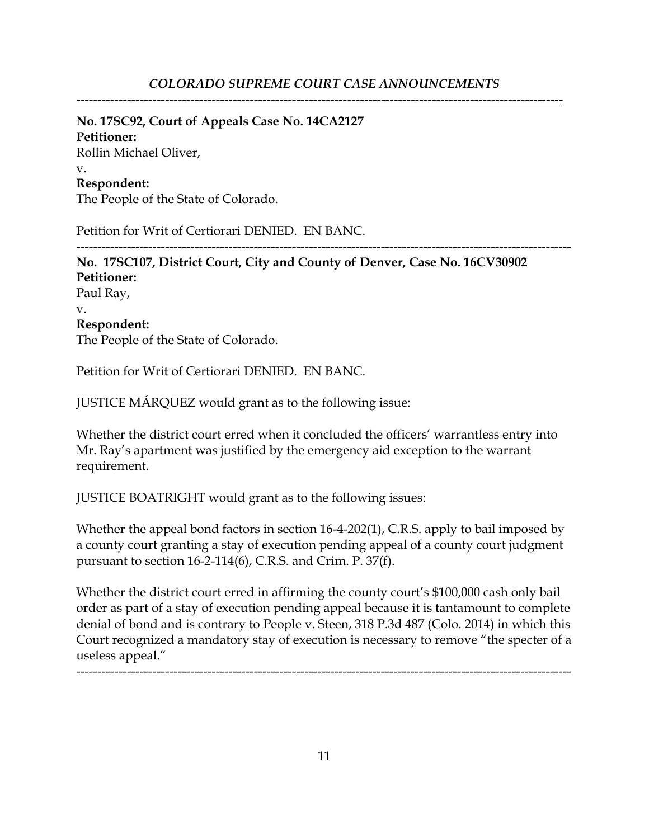## **No. 17SC92, Court of Appeals Case No. 14CA2127**

**Petitioner:** Rollin Michael Oliver, v. **Respondent:**

The People of the State of Colorado.

Petition for Writ of Certiorari DENIED. EN BANC.

--------------------------------------------------------------------------------------------------------------------- **No. 17SC107, District Court, City and County of Denver, Case No. 16CV30902 Petitioner:** Paul Ray, v. **Respondent:** The People of the State of Colorado.

Petition for Writ of Certiorari DENIED. EN BANC.

JUSTICE MÁRQUEZ would grant as to the following issue:

Whether the district court erred when it concluded the officers' warrantless entry into Mr. Ray's apartment was justified by the emergency aid exception to the warrant requirement.

JUSTICE BOATRIGHT would grant as to the following issues:

Whether the appeal bond factors in section 16-4-202(1), C.R.S. apply to bail imposed by a county court granting a stay of execution pending appeal of a county court judgment pursuant to section 16-2-114(6), C.R.S. and Crim. P. 37(f).

Whether the district court erred in affirming the county court's \$100,000 cash only bail order as part of a stay of execution pending appeal because it is tantamount to complete denial of bond and is contrary to People v. Steen, 318 P.3d 487 (Colo. 2014) in which this Court recognized a mandatory stay of execution is necessary to remove "the specter of a useless appeal."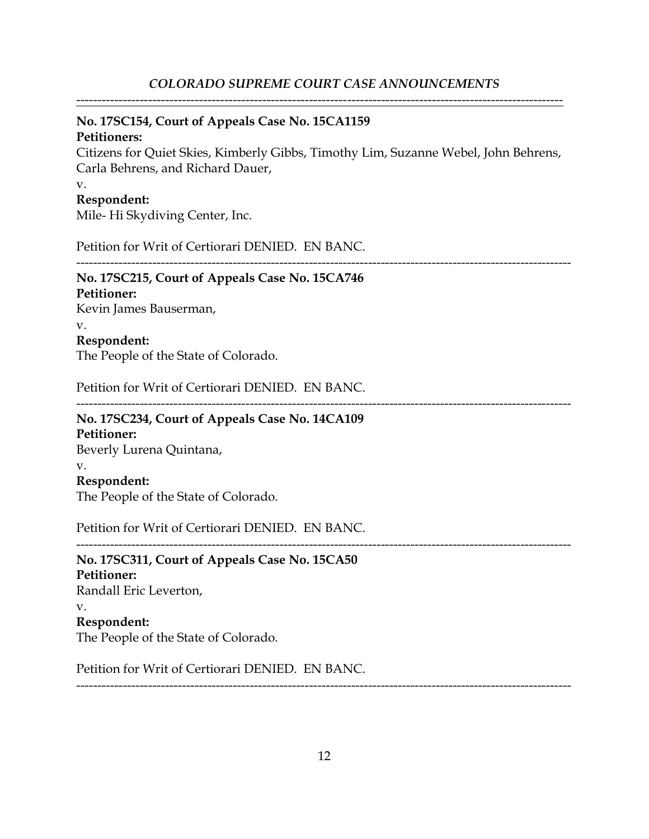-------------------------------------------------------------------------------------------------------------------

## **No. 17SC154, Court of Appeals Case No. 15CA1159**

## **Petitioners:**

Citizens for Quiet Skies, Kimberly Gibbs, Timothy Lim, Suzanne Webel, John Behrens, Carla Behrens, and Richard Dauer,

---------------------------------------------------------------------------------------------------------------------

#### v.

## **Respondent:**

Mile- Hi Skydiving Center, Inc.

Petition for Writ of Certiorari DENIED. EN BANC.

#### --------------------------------------------------------------------------------------------------------------------- **No. 17SC215, Court of Appeals Case No. 15CA746**

# **Petitioner:**

Kevin James Bauserman,

# v.

**Respondent:**

The People of the State of Colorado.

Petition for Writ of Certiorari DENIED. EN BANC.

# **No. 17SC234, Court of Appeals Case No. 14CA109**

**Petitioner:** Beverly Lurena Quintana, v. **Respondent:** The People of the State of Colorado.

Petition for Writ of Certiorari DENIED. EN BANC.

# **No. 17SC311, Court of Appeals Case No. 15CA50 Petitioner:** Randall Eric Leverton, v. **Respondent:** The People of the State of Colorado.

Petition for Writ of Certiorari DENIED. EN BANC.

---------------------------------------------------------------------------------------------------------------------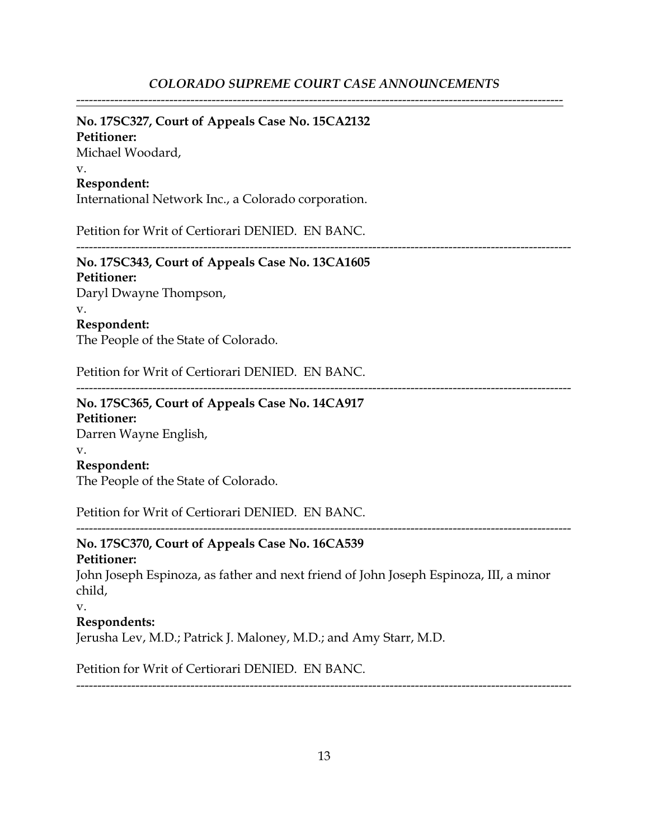## **No. 17SC327, Court of Appeals Case No. 15CA2132**

**Petitioner:** Michael Woodard,

#### v.

## **Respondent:**

International Network Inc., a Colorado corporation.

Petition for Writ of Certiorari DENIED. EN BANC.

## ---------------------------------------------------------------------------------------------------------------------

# **No. 17SC343, Court of Appeals Case No. 13CA1605**

**Petitioner:** Daryl Dwayne Thompson, v. **Respondent:**

The People of the State of Colorado.

Petition for Writ of Certiorari DENIED. EN BANC.

---------------------------------------------------------------------------------------------------------------------

# **No. 17SC365, Court of Appeals Case No. 14CA917**

**Petitioner:** Darren Wayne English, v.

## **Respondent:**

The People of the State of Colorado.

Petition for Writ of Certiorari DENIED. EN BANC.

## **No. 17SC370, Court of Appeals Case No. 16CA539 Petitioner:**

John Joseph Espinoza, as father and next friend of John Joseph Espinoza, III, a minor child,

v.

## **Respondents:**

Jerusha Lev, M.D.; Patrick J. Maloney, M.D.; and Amy Starr, M.D.

Petition for Writ of Certiorari DENIED. EN BANC.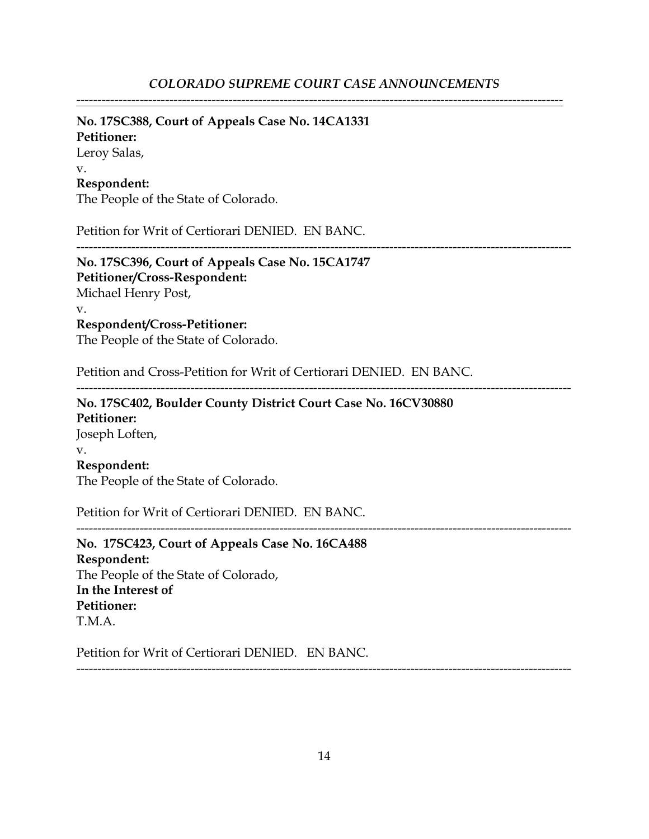# **No. 17SC388, Court of Appeals Case No. 14CA1331**

**Petitioner:**

Leroy Salas, v.

## **Respondent:**

The People of the State of Colorado.

Petition for Writ of Certiorari DENIED. EN BANC.

---------------------------------------------------------------------------------------------------------------------

**No. 17SC396, Court of Appeals Case No. 15CA1747 Petitioner/Cross-Respondent:** Michael Henry Post, v.

**Respondent/Cross-Petitioner:** The People of the State of Colorado.

Petition and Cross-Petition for Writ of Certiorari DENIED. EN BANC.

---------------------------------------------------------------------------------------------------------------------

---------------------------------------------------------------------------------------------------------------------

**No. 17SC402, Boulder County District Court Case No. 16CV30880 Petitioner:** Joseph Loften, v. **Respondent:** The People of the State of Colorado.

Petition for Writ of Certiorari DENIED. EN BANC.

**No. 17SC423, Court of Appeals Case No. 16CA488 Respondent:** The People of the State of Colorado, **In the Interest of Petitioner:** T.M.A.

Petition for Writ of Certiorari DENIED. EN BANC.